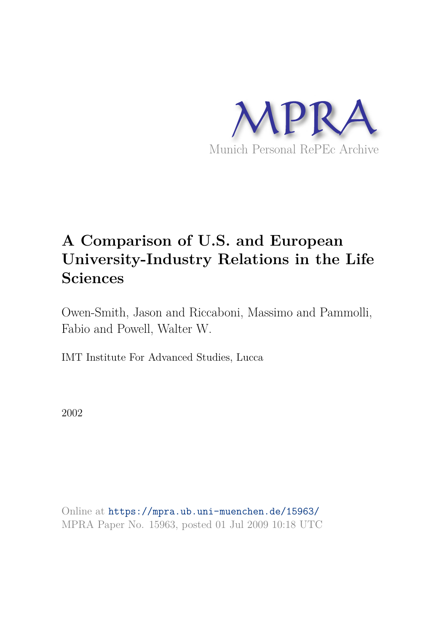

# **A Comparison of U.S. and European University-Industry Relations in the Life Sciences**

Owen-Smith, Jason and Riccaboni, Massimo and Pammolli, Fabio and Powell, Walter W.

IMT Institute For Advanced Studies, Lucca

2002

Online at https://mpra.ub.uni-muenchen.de/15963/ MPRA Paper No. 15963, posted 01 Jul 2009 10:18 UTC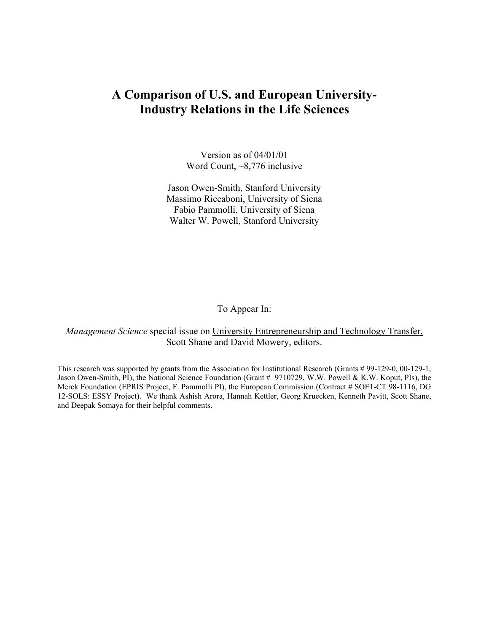## **A Comparison of U.S. and European University-Industry Relations in the Life Sciences**

Version as of 04/01/01 Word Count, ~8,776 inclusive

Jason Owen-Smith, Stanford University Massimo Riccaboni, University of Siena Fabio Pammolli, University of Siena Walter W. Powell, Stanford University

To Appear In:

*Management Science* special issue on University Entrepreneurship and Technology Transfer, Scott Shane and David Mowery, editors.

This research was supported by grants from the Association for Institutional Research (Grants # 99-129-0, 00-129-1, Jason Owen-Smith, PI), the National Science Foundation (Grant # 9710729, W.W. Powell & K.W. Koput, PIs), the Merck Foundation (EPRIS Project, F. Pammolli PI), the European Commission (Contract # SOE1-CT 98-1116, DG 12-SOLS: ESSY Project). We thank Ashish Arora, Hannah Kettler, Georg Kruecken, Kenneth Pavitt, Scott Shane, and Deepak Somaya for their helpful comments.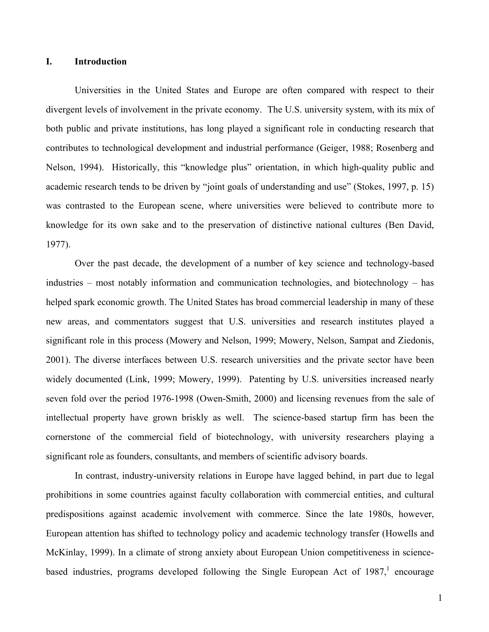#### **I. Introduction**

Universities in the United States and Europe are often compared with respect to their divergent levels of involvement in the private economy. The U.S. university system, with its mix of both public and private institutions, has long played a significant role in conducting research that contributes to technological development and industrial performance (Geiger, 1988; Rosenberg and Nelson, 1994). Historically, this "knowledge plus" orientation, in which high-quality public and academic research tends to be driven by "joint goals of understanding and use" (Stokes, 1997, p. 15) was contrasted to the European scene, where universities were believed to contribute more to knowledge for its own sake and to the preservation of distinctive national cultures (Ben David, 1977).

 Over the past decade, the development of a number of key science and technology-based industries – most notably information and communication technologies, and biotechnology – has helped spark economic growth. The United States has broad commercial leadership in many of these new areas, and commentators suggest that U.S. universities and research institutes played a significant role in this process (Mowery and Nelson, 1999; Mowery, Nelson, Sampat and Ziedonis, 2001). The diverse interfaces between U.S. research universities and the private sector have been widely documented (Link, 1999; Mowery, 1999). Patenting by U.S. universities increased nearly seven fold over the period 1976-1998 (Owen-Smith, 2000) and licensing revenues from the sale of intellectual property have grown briskly as well. The science-based startup firm has been the cornerstone of the commercial field of biotechnology, with university researchers playing a significant role as founders, consultants, and members of scientific advisory boards.

In contrast, industry-university relations in Europe have lagged behind, in part due to legal prohibitions in some countries against faculty collaboration with commercial entities, and cultural predispositions against academic involvement with commerce. Since the late 1980s, however, European attention has shifted to technology policy and academic technology transfer (Howells and McKinlay, 1999). In a climate of strong anxiety about European Union competitiveness in sciencebased industries, programs developed following the Single European Act of  $1987$ ,<sup>1</sup> encourage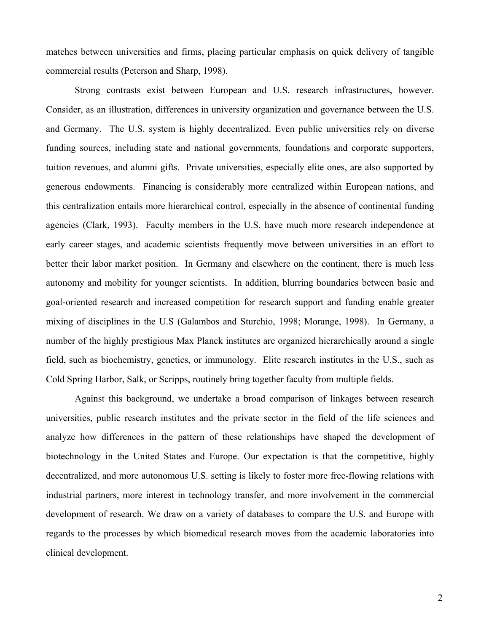matches between universities and firms, placing particular emphasis on quick delivery of tangible commercial results (Peterson and Sharp, 1998).

Strong contrasts exist between European and U.S. research infrastructures, however. Consider, as an illustration, differences in university organization and governance between the U.S. and Germany. The U.S. system is highly decentralized. Even public universities rely on diverse funding sources, including state and national governments, foundations and corporate supporters, tuition revenues, and alumni gifts. Private universities, especially elite ones, are also supported by generous endowments. Financing is considerably more centralized within European nations, and this centralization entails more hierarchical control, especially in the absence of continental funding agencies (Clark, 1993). Faculty members in the U.S. have much more research independence at early career stages, and academic scientists frequently move between universities in an effort to better their labor market position. In Germany and elsewhere on the continent, there is much less autonomy and mobility for younger scientists. In addition, blurring boundaries between basic and goal-oriented research and increased competition for research support and funding enable greater mixing of disciplines in the U.S (Galambos and Sturchio, 1998; Morange, 1998). In Germany, a number of the highly prestigious Max Planck institutes are organized hierarchically around a single field, such as biochemistry, genetics, or immunology. Elite research institutes in the U.S., such as Cold Spring Harbor, Salk, or Scripps, routinely bring together faculty from multiple fields.

 Against this background, we undertake a broad comparison of linkages between research universities, public research institutes and the private sector in the field of the life sciences and analyze how differences in the pattern of these relationships have shaped the development of biotechnology in the United States and Europe. Our expectation is that the competitive, highly decentralized, and more autonomous U.S. setting is likely to foster more free-flowing relations with industrial partners, more interest in technology transfer, and more involvement in the commercial development of research. We draw on a variety of databases to compare the U.S. and Europe with regards to the processes by which biomedical research moves from the academic laboratories into clinical development.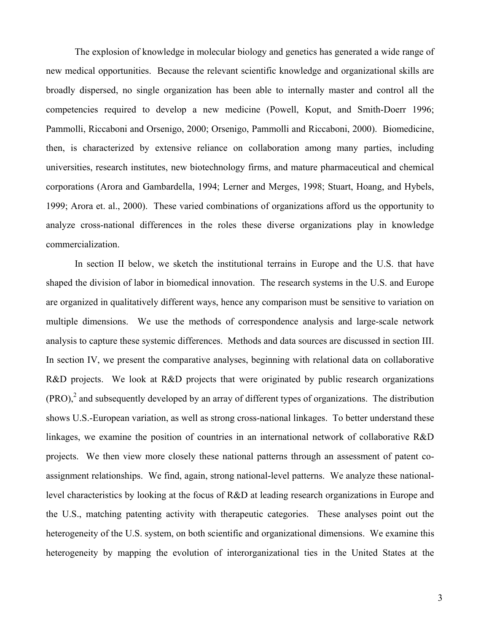The explosion of knowledge in molecular biology and genetics has generated a wide range of new medical opportunities. Because the relevant scientific knowledge and organizational skills are broadly dispersed, no single organization has been able to internally master and control all the competencies required to develop a new medicine (Powell, Koput, and Smith-Doerr 1996; Pammolli, Riccaboni and Orsenigo, 2000; Orsenigo, Pammolli and Riccaboni, 2000). Biomedicine, then, is characterized by extensive reliance on collaboration among many parties, including universities, research institutes, new biotechnology firms, and mature pharmaceutical and chemical corporations (Arora and Gambardella, 1994; Lerner and Merges, 1998; Stuart, Hoang, and Hybels, 1999; Arora et. al., 2000). These varied combinations of organizations afford us the opportunity to analyze cross-national differences in the roles these diverse organizations play in knowledge commercialization.

In section II below, we sketch the institutional terrains in Europe and the U.S. that have shaped the division of labor in biomedical innovation. The research systems in the U.S. and Europe are organized in qualitatively different ways, hence any comparison must be sensitive to variation on multiple dimensions. We use the methods of correspondence analysis and large-scale network analysis to capture these systemic differences. Methods and data sources are discussed in section III. In section IV, we present the comparative analyses, beginning with relational data on collaborative R&D projects. We look at R&D projects that were originated by public research organizations  $(PRO)<sup>2</sup>$  and subsequently developed by an array of different types of organizations. The distribution shows U.S.-European variation, as well as strong cross-national linkages. To better understand these linkages, we examine the position of countries in an international network of collaborative R&D projects. We then view more closely these national patterns through an assessment of patent coassignment relationships. We find, again, strong national-level patterns. We analyze these nationallevel characteristics by looking at the focus of R&D at leading research organizations in Europe and the U.S., matching patenting activity with therapeutic categories. These analyses point out the heterogeneity of the U.S. system, on both scientific and organizational dimensions. We examine this heterogeneity by mapping the evolution of interorganizational ties in the United States at the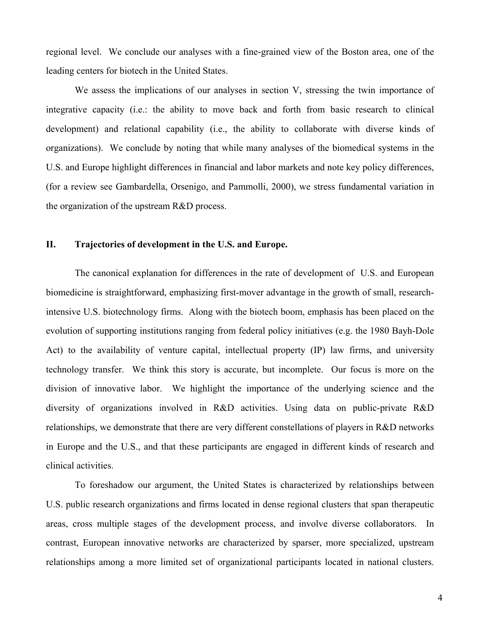regional level. We conclude our analyses with a fine-grained view of the Boston area, one of the leading centers for biotech in the United States.

We assess the implications of our analyses in section V, stressing the twin importance of integrative capacity (i.e.: the ability to move back and forth from basic research to clinical development) and relational capability (i.e., the ability to collaborate with diverse kinds of organizations). We conclude by noting that while many analyses of the biomedical systems in the U.S. and Europe highlight differences in financial and labor markets and note key policy differences, (for a review see Gambardella, Orsenigo, and Pammolli, 2000), we stress fundamental variation in the organization of the upstream R&D process.

#### **II. Trajectories of development in the U.S. and Europe.**

The canonical explanation for differences in the rate of development of U.S. and European biomedicine is straightforward, emphasizing first-mover advantage in the growth of small, researchintensive U.S. biotechnology firms. Along with the biotech boom, emphasis has been placed on the evolution of supporting institutions ranging from federal policy initiatives (e.g. the 1980 Bayh-Dole Act) to the availability of venture capital, intellectual property (IP) law firms, and university technology transfer. We think this story is accurate, but incomplete. Our focus is more on the division of innovative labor. We highlight the importance of the underlying science and the diversity of organizations involved in R&D activities. Using data on public-private R&D relationships, we demonstrate that there are very different constellations of players in R&D networks in Europe and the U.S., and that these participants are engaged in different kinds of research and clinical activities.

To foreshadow our argument, the United States is characterized by relationships between U.S. public research organizations and firms located in dense regional clusters that span therapeutic areas, cross multiple stages of the development process, and involve diverse collaborators. In contrast, European innovative networks are characterized by sparser, more specialized, upstream relationships among a more limited set of organizational participants located in national clusters.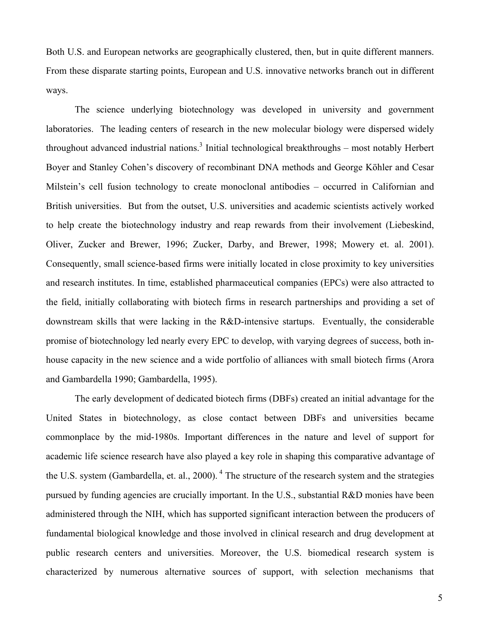Both U.S. and European networks are geographically clustered, then, but in quite different manners. From these disparate starting points, European and U.S. innovative networks branch out in different ways.

The science underlying biotechnology was developed in university and government laboratories. The leading centers of research in the new molecular biology were dispersed widely throughout advanced industrial nations.<sup>3</sup> Initial technological breakthroughs – most notably Herbert Boyer and Stanley Cohen's discovery of recombinant DNA methods and George Köhler and Cesar Milstein's cell fusion technology to create monoclonal antibodies – occurred in Californian and British universities. But from the outset, U.S. universities and academic scientists actively worked to help create the biotechnology industry and reap rewards from their involvement (Liebeskind, Oliver, Zucker and Brewer, 1996; Zucker, Darby, and Brewer, 1998; Mowery et. al. 2001). Consequently, small science-based firms were initially located in close proximity to key universities and research institutes. In time, established pharmaceutical companies (EPCs) were also attracted to the field, initially collaborating with biotech firms in research partnerships and providing a set of downstream skills that were lacking in the R&D-intensive startups. Eventually, the considerable promise of biotechnology led nearly every EPC to develop, with varying degrees of success, both inhouse capacity in the new science and a wide portfolio of alliances with small biotech firms (Arora and Gambardella 1990; Gambardella, 1995).

 The early development of dedicated biotech firms (DBFs) created an initial advantage for the United States in biotechnology, as close contact between DBFs and universities became commonplace by the mid-1980s. Important differences in the nature and level of support for academic life science research have also played a key role in shaping this comparative advantage of the U.S. system (Gambardella, et. al., 2000).<sup>4</sup> The structure of the research system and the strategies pursued by funding agencies are crucially important. In the U.S., substantial R&D monies have been administered through the NIH, which has supported significant interaction between the producers of fundamental biological knowledge and those involved in clinical research and drug development at public research centers and universities. Moreover, the U.S. biomedical research system is characterized by numerous alternative sources of support, with selection mechanisms that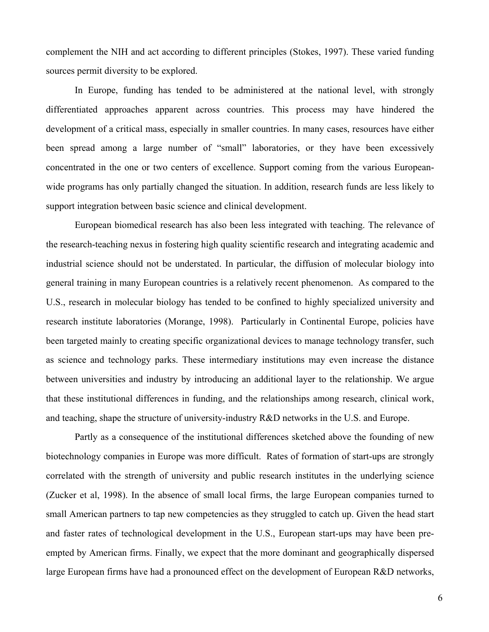complement the NIH and act according to different principles (Stokes, 1997). These varied funding sources permit diversity to be explored.

In Europe, funding has tended to be administered at the national level, with strongly differentiated approaches apparent across countries. This process may have hindered the development of a critical mass, especially in smaller countries. In many cases, resources have either been spread among a large number of "small" laboratories, or they have been excessively concentrated in the one or two centers of excellence. Support coming from the various Europeanwide programs has only partially changed the situation. In addition, research funds are less likely to support integration between basic science and clinical development.

European biomedical research has also been less integrated with teaching. The relevance of the research-teaching nexus in fostering high quality scientific research and integrating academic and industrial science should not be understated. In particular, the diffusion of molecular biology into general training in many European countries is a relatively recent phenomenon. As compared to the U.S., research in molecular biology has tended to be confined to highly specialized university and research institute laboratories (Morange, 1998). Particularly in Continental Europe, policies have been targeted mainly to creating specific organizational devices to manage technology transfer, such as science and technology parks. These intermediary institutions may even increase the distance between universities and industry by introducing an additional layer to the relationship. We argue that these institutional differences in funding, and the relationships among research, clinical work, and teaching, shape the structure of university-industry R&D networks in the U.S. and Europe.

Partly as a consequence of the institutional differences sketched above the founding of new biotechnology companies in Europe was more difficult. Rates of formation of start-ups are strongly correlated with the strength of university and public research institutes in the underlying science (Zucker et al, 1998). In the absence of small local firms, the large European companies turned to small American partners to tap new competencies as they struggled to catch up. Given the head start and faster rates of technological development in the U.S., European start-ups may have been preempted by American firms. Finally, we expect that the more dominant and geographically dispersed large European firms have had a pronounced effect on the development of European R&D networks,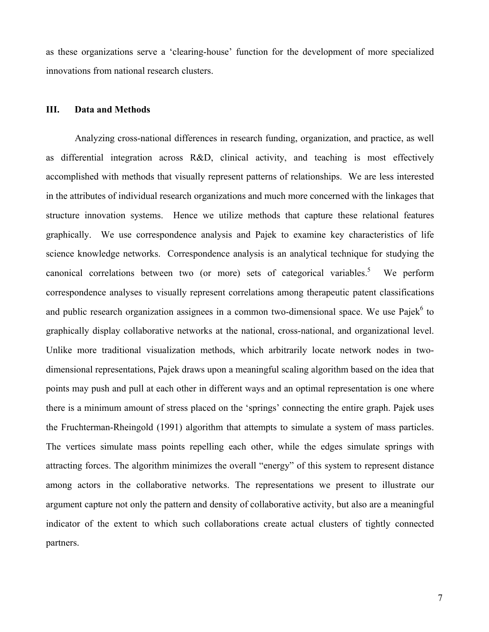as these organizations serve a 'clearing-house' function for the development of more specialized innovations from national research clusters.

#### **III. Data and Methods**

Analyzing cross-national differences in research funding, organization, and practice, as well as differential integration across R&D, clinical activity, and teaching is most effectively accomplished with methods that visually represent patterns of relationships. We are less interested in the attributes of individual research organizations and much more concerned with the linkages that structure innovation systems. Hence we utilize methods that capture these relational features graphically. We use correspondence analysis and Pajek to examine key characteristics of life science knowledge networks. Correspondence analysis is an analytical technique for studying the canonical correlations between two (or more) sets of categorical variables.<sup>5</sup> We perform correspondence analyses to visually represent correlations among therapeutic patent classifications and public research organization assignees in a common two-dimensional space. We use Pajek<sup>6</sup> to graphically display collaborative networks at the national, cross-national, and organizational level. Unlike more traditional visualization methods, which arbitrarily locate network nodes in twodimensional representations, Pajek draws upon a meaningful scaling algorithm based on the idea that points may push and pull at each other in different ways and an optimal representation is one where there is a minimum amount of stress placed on the 'springs' connecting the entire graph. Pajek uses the Fruchterman-Rheingold (1991) algorithm that attempts to simulate a system of mass particles. The vertices simulate mass points repelling each other, while the edges simulate springs with attracting forces. The algorithm minimizes the overall "energy" of this system to represent distance among actors in the collaborative networks. The representations we present to illustrate our argument capture not only the pattern and density of collaborative activity, but also are a meaningful indicator of the extent to which such collaborations create actual clusters of tightly connected partners.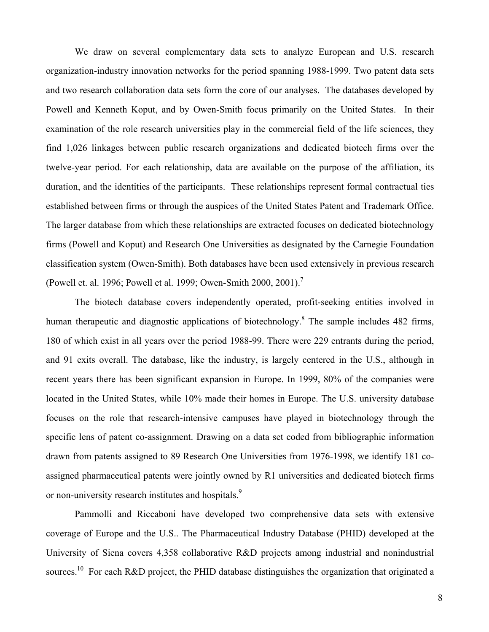We draw on several complementary data sets to analyze European and U.S. research organization-industry innovation networks for the period spanning 1988-1999. Two patent data sets and two research collaboration data sets form the core of our analyses. The databases developed by Powell and Kenneth Koput, and by Owen-Smith focus primarily on the United States. In their examination of the role research universities play in the commercial field of the life sciences, they find 1,026 linkages between public research organizations and dedicated biotech firms over the twelve-year period. For each relationship, data are available on the purpose of the affiliation, its duration, and the identities of the participants. These relationships represent formal contractual ties established between firms or through the auspices of the United States Patent and Trademark Office. The larger database from which these relationships are extracted focuses on dedicated biotechnology firms (Powell and Koput) and Research One Universities as designated by the Carnegie Foundation classification system (Owen-Smith). Both databases have been used extensively in previous research (Powell et. al. 1996; Powell et al. 1999; Owen-Smith 2000, 2001).<sup>7</sup>

 The biotech database covers independently operated, profit-seeking entities involved in human therapeutic and diagnostic applications of biotechnology.<sup>8</sup> The sample includes 482 firms, 180 of which exist in all years over the period 1988-99. There were 229 entrants during the period, and 91 exits overall. The database, like the industry, is largely centered in the U.S., although in recent years there has been significant expansion in Europe. In 1999, 80% of the companies were located in the United States, while 10% made their homes in Europe. The U.S. university database focuses on the role that research-intensive campuses have played in biotechnology through the specific lens of patent co-assignment. Drawing on a data set coded from bibliographic information drawn from patents assigned to 89 Research One Universities from 1976-1998, we identify 181 coassigned pharmaceutical patents were jointly owned by R1 universities and dedicated biotech firms or non-university research institutes and hospitals.<sup>9</sup>

 Pammolli and Riccaboni have developed two comprehensive data sets with extensive coverage of Europe and the U.S.. The Pharmaceutical Industry Database (PHID) developed at the University of Siena covers 4,358 collaborative R&D projects among industrial and nonindustrial sources.<sup>10</sup> For each R&D project, the PHID database distinguishes the organization that originated a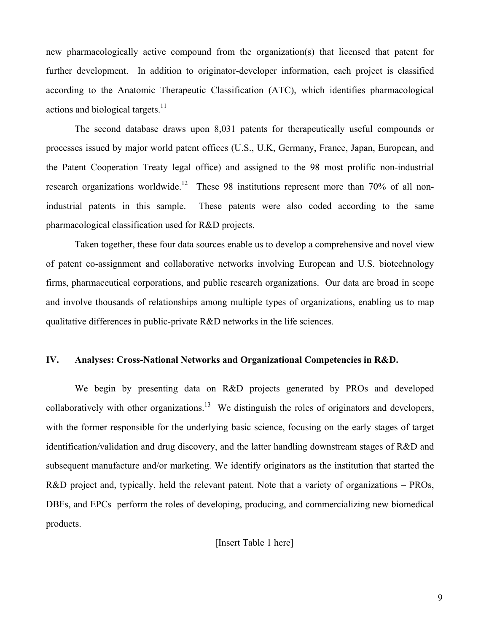new pharmacologically active compound from the organization(s) that licensed that patent for further development. In addition to originator-developer information, each project is classified according to the Anatomic Therapeutic Classification (ATC), which identifies pharmacological actions and biological targets.<sup>11</sup>

The second database draws upon 8,031 patents for therapeutically useful compounds or processes issued by major world patent offices (U.S., U.K, Germany, France, Japan, European, and the Patent Cooperation Treaty legal office) and assigned to the 98 most prolific non-industrial research organizations worldwide.<sup>12</sup> These 98 institutions represent more than 70% of all nonindustrial patents in this sample. These patents were also coded according to the same pharmacological classification used for R&D projects.

 Taken together, these four data sources enable us to develop a comprehensive and novel view of patent co-assignment and collaborative networks involving European and U.S. biotechnology firms, pharmaceutical corporations, and public research organizations. Our data are broad in scope and involve thousands of relationships among multiple types of organizations, enabling us to map qualitative differences in public-private R&D networks in the life sciences.

### **IV. Analyses: Cross-National Networks and Organizational Competencies in R&D.**

We begin by presenting data on R&D projects generated by PROs and developed collaboratively with other organizations.<sup>13</sup> We distinguish the roles of originators and developers, with the former responsible for the underlying basic science, focusing on the early stages of target identification/validation and drug discovery, and the latter handling downstream stages of R&D and subsequent manufacture and/or marketing. We identify originators as the institution that started the R&D project and, typically, held the relevant patent. Note that a variety of organizations – PROs, DBFs, and EPCs perform the roles of developing, producing, and commercializing new biomedical products.

[Insert Table 1 here]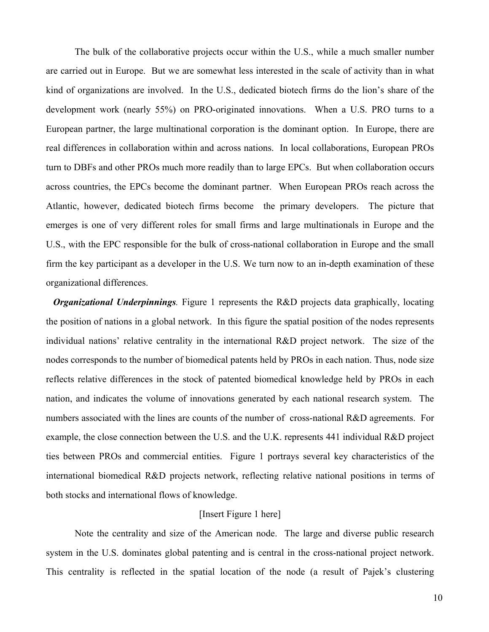The bulk of the collaborative projects occur within the U.S., while a much smaller number are carried out in Europe. But we are somewhat less interested in the scale of activity than in what kind of organizations are involved. In the U.S., dedicated biotech firms do the lion's share of the development work (nearly 55%) on PRO-originated innovations. When a U.S. PRO turns to a European partner, the large multinational corporation is the dominant option. In Europe, there are real differences in collaboration within and across nations. In local collaborations, European PROs turn to DBFs and other PROs much more readily than to large EPCs. But when collaboration occurs across countries, the EPCs become the dominant partner. When European PROs reach across the Atlantic, however, dedicated biotech firms become the primary developers. The picture that emerges is one of very different roles for small firms and large multinationals in Europe and the U.S., with the EPC responsible for the bulk of cross-national collaboration in Europe and the small firm the key participant as a developer in the U.S. We turn now to an in-depth examination of these organizational differences.

*Organizational Underpinnings.* Figure 1 represents the R&D projects data graphically, locating the position of nations in a global network. In this figure the spatial position of the nodes represents individual nations' relative centrality in the international R&D project network. The size of the nodes corresponds to the number of biomedical patents held by PROs in each nation. Thus, node size reflects relative differences in the stock of patented biomedical knowledge held by PROs in each nation, and indicates the volume of innovations generated by each national research system. The numbers associated with the lines are counts of the number of cross-national R&D agreements. For example, the close connection between the U.S. and the U.K. represents 441 individual R&D project ties between PROs and commercial entities. Figure 1 portrays several key characteristics of the international biomedical R&D projects network, reflecting relative national positions in terms of both stocks and international flows of knowledge.

#### [Insert Figure 1 here]

Note the centrality and size of the American node. The large and diverse public research system in the U.S. dominates global patenting and is central in the cross-national project network. This centrality is reflected in the spatial location of the node (a result of Pajek's clustering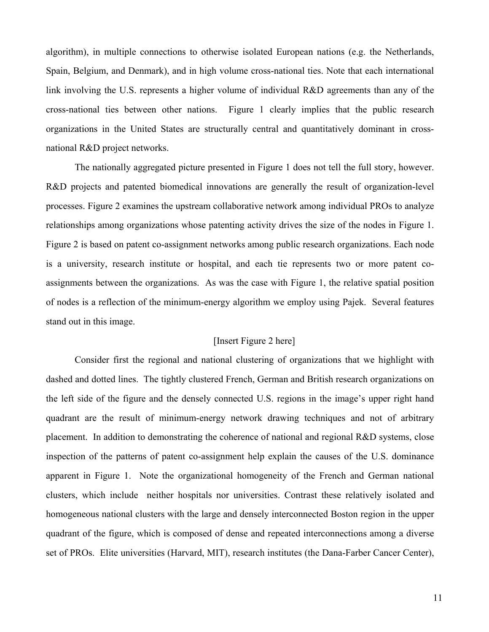algorithm), in multiple connections to otherwise isolated European nations (e.g. the Netherlands, Spain, Belgium, and Denmark), and in high volume cross-national ties. Note that each international link involving the U.S. represents a higher volume of individual R&D agreements than any of the cross-national ties between other nations. Figure 1 clearly implies that the public research organizations in the United States are structurally central and quantitatively dominant in crossnational R&D project networks.

The nationally aggregated picture presented in Figure 1 does not tell the full story, however. R&D projects and patented biomedical innovations are generally the result of organization-level processes. Figure 2 examines the upstream collaborative network among individual PROs to analyze relationships among organizations whose patenting activity drives the size of the nodes in Figure 1. Figure 2 is based on patent co-assignment networks among public research organizations. Each node is a university, research institute or hospital, and each tie represents two or more patent coassignments between the organizations. As was the case with Figure 1, the relative spatial position of nodes is a reflection of the minimum-energy algorithm we employ using Pajek. Several features stand out in this image.

#### [Insert Figure 2 here]

Consider first the regional and national clustering of organizations that we highlight with dashed and dotted lines. The tightly clustered French, German and British research organizations on the left side of the figure and the densely connected U.S. regions in the image's upper right hand quadrant are the result of minimum-energy network drawing techniques and not of arbitrary placement. In addition to demonstrating the coherence of national and regional R&D systems, close inspection of the patterns of patent co-assignment help explain the causes of the U.S. dominance apparent in Figure 1. Note the organizational homogeneity of the French and German national clusters, which include neither hospitals nor universities. Contrast these relatively isolated and homogeneous national clusters with the large and densely interconnected Boston region in the upper quadrant of the figure, which is composed of dense and repeated interconnections among a diverse set of PROs. Elite universities (Harvard, MIT), research institutes (the Dana-Farber Cancer Center),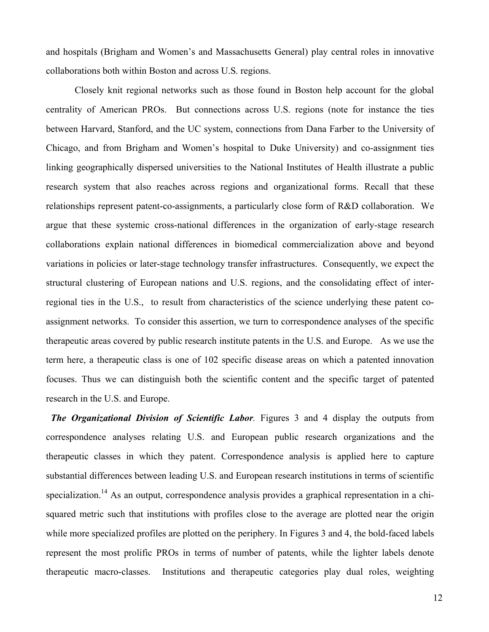and hospitals (Brigham and Women's and Massachusetts General) play central roles in innovative collaborations both within Boston and across U.S. regions.

Closely knit regional networks such as those found in Boston help account for the global centrality of American PROs. But connections across U.S. regions (note for instance the ties between Harvard, Stanford, and the UC system, connections from Dana Farber to the University of Chicago, and from Brigham and Women's hospital to Duke University) and co-assignment ties linking geographically dispersed universities to the National Institutes of Health illustrate a public research system that also reaches across regions and organizational forms. Recall that these relationships represent patent-co-assignments, a particularly close form of R&D collaboration. We argue that these systemic cross-national differences in the organization of early-stage research collaborations explain national differences in biomedical commercialization above and beyond variations in policies or later-stage technology transfer infrastructures. Consequently, we expect the structural clustering of European nations and U.S. regions, and the consolidating effect of interregional ties in the U.S., to result from characteristics of the science underlying these patent coassignment networks. To consider this assertion, we turn to correspondence analyses of the specific therapeutic areas covered by public research institute patents in the U.S. and Europe. As we use the term here, a therapeutic class is one of 102 specific disease areas on which a patented innovation focuses. Thus we can distinguish both the scientific content and the specific target of patented research in the U.S. and Europe.

 *The Organizational Division of Scientific Labor.* Figures 3 and 4 display the outputs from correspondence analyses relating U.S. and European public research organizations and the therapeutic classes in which they patent. Correspondence analysis is applied here to capture substantial differences between leading U.S. and European research institutions in terms of scientific specialization.<sup>14</sup> As an output, correspondence analysis provides a graphical representation in a chisquared metric such that institutions with profiles close to the average are plotted near the origin while more specialized profiles are plotted on the periphery. In Figures 3 and 4, the bold-faced labels represent the most prolific PROs in terms of number of patents, while the lighter labels denote therapeutic macro-classes. Institutions and therapeutic categories play dual roles, weighting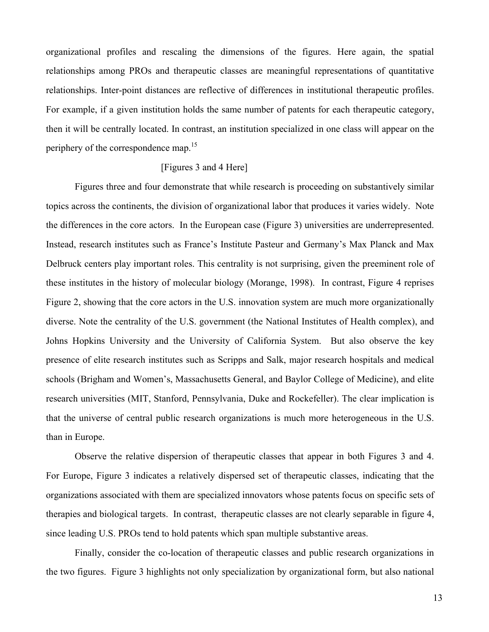organizational profiles and rescaling the dimensions of the figures. Here again, the spatial relationships among PROs and therapeutic classes are meaningful representations of quantitative relationships. Inter-point distances are reflective of differences in institutional therapeutic profiles. For example, if a given institution holds the same number of patents for each therapeutic category, then it will be centrally located. In contrast, an institution specialized in one class will appear on the periphery of the correspondence map.<sup>15</sup>

#### [Figures 3 and 4 Here]

 Figures three and four demonstrate that while research is proceeding on substantively similar topics across the continents, the division of organizational labor that produces it varies widely. Note the differences in the core actors. In the European case (Figure 3) universities are underrepresented. Instead, research institutes such as France's Institute Pasteur and Germany's Max Planck and Max Delbruck centers play important roles. This centrality is not surprising, given the preeminent role of these institutes in the history of molecular biology (Morange, 1998). In contrast, Figure 4 reprises Figure 2, showing that the core actors in the U.S. innovation system are much more organizationally diverse. Note the centrality of the U.S. government (the National Institutes of Health complex), and Johns Hopkins University and the University of California System. But also observe the key presence of elite research institutes such as Scripps and Salk, major research hospitals and medical schools (Brigham and Women's, Massachusetts General, and Baylor College of Medicine), and elite research universities (MIT, Stanford, Pennsylvania, Duke and Rockefeller). The clear implication is that the universe of central public research organizations is much more heterogeneous in the U.S. than in Europe.

 Observe the relative dispersion of therapeutic classes that appear in both Figures 3 and 4. For Europe, Figure 3 indicates a relatively dispersed set of therapeutic classes, indicating that the organizations associated with them are specialized innovators whose patents focus on specific sets of therapies and biological targets. In contrast, therapeutic classes are not clearly separable in figure 4, since leading U.S. PROs tend to hold patents which span multiple substantive areas.

Finally, consider the co-location of therapeutic classes and public research organizations in the two figures. Figure 3 highlights not only specialization by organizational form, but also national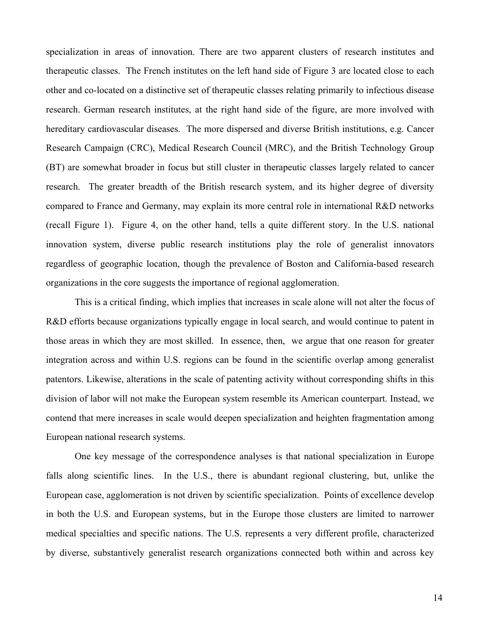specialization in areas of innovation. There are two apparent clusters of research institutes and therapeutic classes. The French institutes on the left hand side of Figure 3 are located close to each other and co-located on a distinctive set of therapeutic classes relating primarily to infectious disease research. German research institutes, at the right hand side of the figure, are more involved with hereditary cardiovascular diseases. The more dispersed and diverse British institutions, e.g. Cancer Research Campaign (CRC), Medical Research Council (MRC), and the British Technology Group (BT) are somewhat broader in focus but still cluster in therapeutic classes largely related to cancer research. The greater breadth of the British research system, and its higher degree of diversity compared to France and Germany, may explain its more central role in international R&D networks (recall Figure 1). Figure 4, on the other hand, tells a quite different story. In the U.S. national innovation system, diverse public research institutions play the role of generalist innovators regardless of geographic location, though the prevalence of Boston and California-based research organizations in the core suggests the importance of regional agglomeration.

This is a critical finding, which implies that increases in scale alone will not alter the focus of R&D efforts because organizations typically engage in local search, and would continue to patent in those areas in which they are most skilled. In essence, then, we argue that one reason for greater integration across and within U.S. regions can be found in the scientific overlap among generalist patentors. Likewise, alterations in the scale of patenting activity without corresponding shifts in this division of labor will not make the European system resemble its American counterpart. Instead, we contend that mere increases in scale would deepen specialization and heighten fragmentation among European national research systems.

One key message of the correspondence analyses is that national specialization in Europe falls along scientific lines. In the U.S., there is abundant regional clustering, but, unlike the European case, agglomeration is not driven by scientific specialization. Points of excellence develop in both the U.S. and European systems, but in the Europe those clusters are limited to narrower medical specialties and specific nations. The U.S. represents a very different profile, characterized by diverse, substantively generalist research organizations connected both within and across key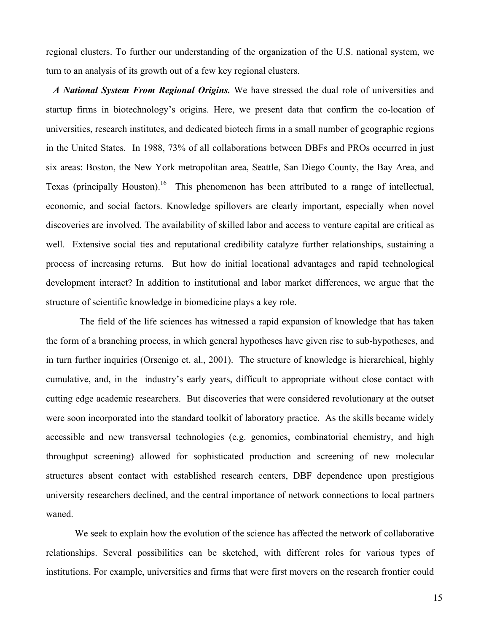regional clusters. To further our understanding of the organization of the U.S. national system, we turn to an analysis of its growth out of a few key regional clusters.

 *A National System From Regional Origins.* We have stressed the dual role of universities and startup firms in biotechnology's origins. Here, we present data that confirm the co-location of universities, research institutes, and dedicated biotech firms in a small number of geographic regions in the United States. In 1988, 73% of all collaborations between DBFs and PROs occurred in just six areas: Boston, the New York metropolitan area, Seattle, San Diego County, the Bay Area, and Texas (principally Houston).<sup>16</sup> This phenomenon has been attributed to a range of intellectual, economic, and social factors. Knowledge spillovers are clearly important, especially when novel discoveries are involved. The availability of skilled labor and access to venture capital are critical as well. Extensive social ties and reputational credibility catalyze further relationships, sustaining a process of increasing returns. But how do initial locational advantages and rapid technological development interact? In addition to institutional and labor market differences, we argue that the structure of scientific knowledge in biomedicine plays a key role.

 The field of the life sciences has witnessed a rapid expansion of knowledge that has taken the form of a branching process, in which general hypotheses have given rise to sub-hypotheses, and in turn further inquiries (Orsenigo et. al., 2001). The structure of knowledge is hierarchical, highly cumulative, and, in the industry's early years, difficult to appropriate without close contact with cutting edge academic researchers. But discoveries that were considered revolutionary at the outset were soon incorporated into the standard toolkit of laboratory practice. As the skills became widely accessible and new transversal technologies (e.g. genomics, combinatorial chemistry, and high throughput screening) allowed for sophisticated production and screening of new molecular structures absent contact with established research centers, DBF dependence upon prestigious university researchers declined, and the central importance of network connections to local partners waned.

 We seek to explain how the evolution of the science has affected the network of collaborative relationships. Several possibilities can be sketched, with different roles for various types of institutions. For example, universities and firms that were first movers on the research frontier could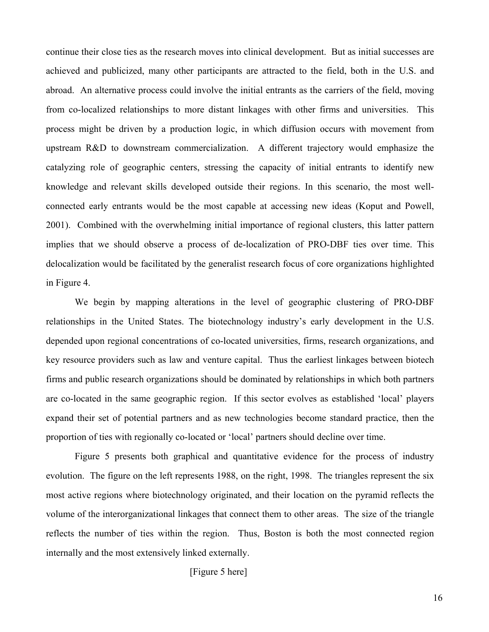continue their close ties as the research moves into clinical development. But as initial successes are achieved and publicized, many other participants are attracted to the field, both in the U.S. and abroad. An alternative process could involve the initial entrants as the carriers of the field, moving from co-localized relationships to more distant linkages with other firms and universities. This process might be driven by a production logic, in which diffusion occurs with movement from upstream R&D to downstream commercialization. A different trajectory would emphasize the catalyzing role of geographic centers, stressing the capacity of initial entrants to identify new knowledge and relevant skills developed outside their regions. In this scenario, the most wellconnected early entrants would be the most capable at accessing new ideas (Koput and Powell, 2001). Combined with the overwhelming initial importance of regional clusters, this latter pattern implies that we should observe a process of de-localization of PRO-DBF ties over time. This delocalization would be facilitated by the generalist research focus of core organizations highlighted in Figure 4.

 We begin by mapping alterations in the level of geographic clustering of PRO-DBF relationships in the United States. The biotechnology industry's early development in the U.S. depended upon regional concentrations of co-located universities, firms, research organizations, and key resource providers such as law and venture capital. Thus the earliest linkages between biotech firms and public research organizations should be dominated by relationships in which both partners are co-located in the same geographic region. If this sector evolves as established 'local' players expand their set of potential partners and as new technologies become standard practice, then the proportion of ties with regionally co-located or 'local' partners should decline over time.

 Figure 5 presents both graphical and quantitative evidence for the process of industry evolution. The figure on the left represents 1988, on the right, 1998. The triangles represent the six most active regions where biotechnology originated, and their location on the pyramid reflects the volume of the interorganizational linkages that connect them to other areas. The size of the triangle reflects the number of ties within the region. Thus, Boston is both the most connected region internally and the most extensively linked externally.

[Figure 5 here]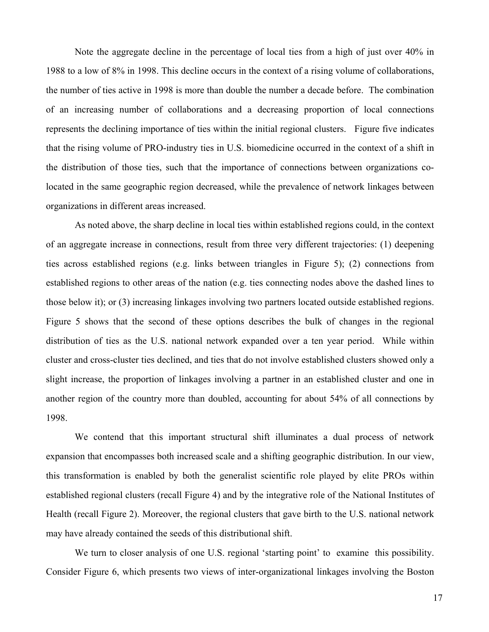Note the aggregate decline in the percentage of local ties from a high of just over 40% in 1988 to a low of 8% in 1998. This decline occurs in the context of a rising volume of collaborations, the number of ties active in 1998 is more than double the number a decade before. The combination of an increasing number of collaborations and a decreasing proportion of local connections represents the declining importance of ties within the initial regional clusters. Figure five indicates that the rising volume of PRO-industry ties in U.S. biomedicine occurred in the context of a shift in the distribution of those ties, such that the importance of connections between organizations colocated in the same geographic region decreased, while the prevalence of network linkages between organizations in different areas increased.

As noted above, the sharp decline in local ties within established regions could, in the context of an aggregate increase in connections, result from three very different trajectories: (1) deepening ties across established regions (e.g. links between triangles in Figure 5); (2) connections from established regions to other areas of the nation (e.g. ties connecting nodes above the dashed lines to those below it); or (3) increasing linkages involving two partners located outside established regions. Figure 5 shows that the second of these options describes the bulk of changes in the regional distribution of ties as the U.S. national network expanded over a ten year period. While within cluster and cross-cluster ties declined, and ties that do not involve established clusters showed only a slight increase, the proportion of linkages involving a partner in an established cluster and one in another region of the country more than doubled, accounting for about 54% of all connections by 1998.

We contend that this important structural shift illuminates a dual process of network expansion that encompasses both increased scale and a shifting geographic distribution. In our view, this transformation is enabled by both the generalist scientific role played by elite PROs within established regional clusters (recall Figure 4) and by the integrative role of the National Institutes of Health (recall Figure 2). Moreover, the regional clusters that gave birth to the U.S. national network may have already contained the seeds of this distributional shift.

We turn to closer analysis of one U.S. regional 'starting point' to examine this possibility. Consider Figure 6, which presents two views of inter-organizational linkages involving the Boston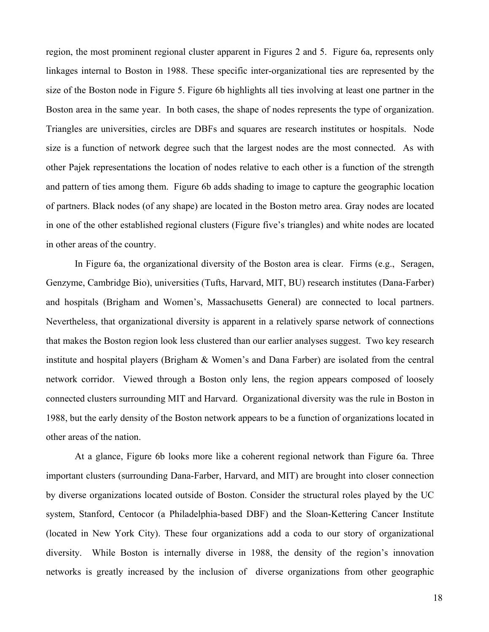region, the most prominent regional cluster apparent in Figures 2 and 5. Figure 6a, represents only linkages internal to Boston in 1988. These specific inter-organizational ties are represented by the size of the Boston node in Figure 5. Figure 6b highlights all ties involving at least one partner in the Boston area in the same year. In both cases, the shape of nodes represents the type of organization. Triangles are universities, circles are DBFs and squares are research institutes or hospitals. Node size is a function of network degree such that the largest nodes are the most connected. As with other Pajek representations the location of nodes relative to each other is a function of the strength and pattern of ties among them. Figure 6b adds shading to image to capture the geographic location of partners. Black nodes (of any shape) are located in the Boston metro area. Gray nodes are located in one of the other established regional clusters (Figure five's triangles) and white nodes are located in other areas of the country.

In Figure 6a, the organizational diversity of the Boston area is clear. Firms (e.g., Seragen, Genzyme, Cambridge Bio), universities (Tufts, Harvard, MIT, BU) research institutes (Dana-Farber) and hospitals (Brigham and Women's, Massachusetts General) are connected to local partners. Nevertheless, that organizational diversity is apparent in a relatively sparse network of connections that makes the Boston region look less clustered than our earlier analyses suggest. Two key research institute and hospital players (Brigham & Women's and Dana Farber) are isolated from the central network corridor. Viewed through a Boston only lens, the region appears composed of loosely connected clusters surrounding MIT and Harvard. Organizational diversity was the rule in Boston in 1988, but the early density of the Boston network appears to be a function of organizations located in other areas of the nation.

At a glance, Figure 6b looks more like a coherent regional network than Figure 6a. Three important clusters (surrounding Dana-Farber, Harvard, and MIT) are brought into closer connection by diverse organizations located outside of Boston. Consider the structural roles played by the UC system, Stanford, Centocor (a Philadelphia-based DBF) and the Sloan-Kettering Cancer Institute (located in New York City). These four organizations add a coda to our story of organizational diversity. While Boston is internally diverse in 1988, the density of the region's innovation networks is greatly increased by the inclusion of diverse organizations from other geographic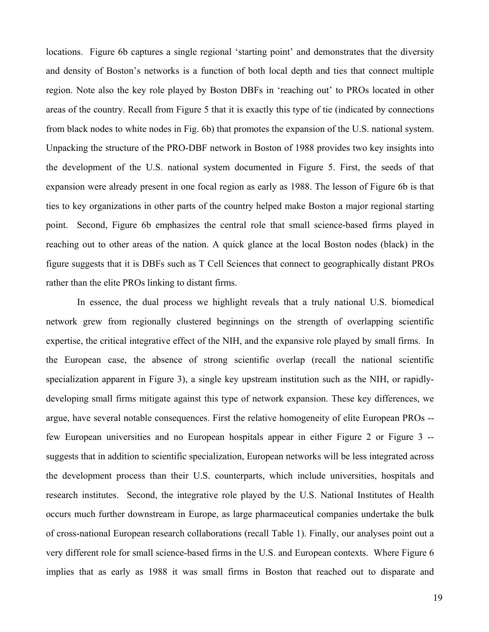locations. Figure 6b captures a single regional 'starting point' and demonstrates that the diversity and density of Boston's networks is a function of both local depth and ties that connect multiple region. Note also the key role played by Boston DBFs in 'reaching out' to PROs located in other areas of the country. Recall from Figure 5 that it is exactly this type of tie (indicated by connections from black nodes to white nodes in Fig. 6b) that promotes the expansion of the U.S. national system. Unpacking the structure of the PRO-DBF network in Boston of 1988 provides two key insights into the development of the U.S. national system documented in Figure 5. First, the seeds of that expansion were already present in one focal region as early as 1988. The lesson of Figure 6b is that ties to key organizations in other parts of the country helped make Boston a major regional starting point. Second, Figure 6b emphasizes the central role that small science-based firms played in reaching out to other areas of the nation. A quick glance at the local Boston nodes (black) in the figure suggests that it is DBFs such as T Cell Sciences that connect to geographically distant PROs rather than the elite PROs linking to distant firms.

 In essence, the dual process we highlight reveals that a truly national U.S. biomedical network grew from regionally clustered beginnings on the strength of overlapping scientific expertise, the critical integrative effect of the NIH, and the expansive role played by small firms. In the European case, the absence of strong scientific overlap (recall the national scientific specialization apparent in Figure 3), a single key upstream institution such as the NIH, or rapidlydeveloping small firms mitigate against this type of network expansion. These key differences, we argue, have several notable consequences. First the relative homogeneity of elite European PROs - few European universities and no European hospitals appear in either Figure 2 or Figure 3 - suggests that in addition to scientific specialization, European networks will be less integrated across the development process than their U.S. counterparts, which include universities, hospitals and research institutes. Second, the integrative role played by the U.S. National Institutes of Health occurs much further downstream in Europe, as large pharmaceutical companies undertake the bulk of cross-national European research collaborations (recall Table 1). Finally, our analyses point out a very different role for small science-based firms in the U.S. and European contexts. Where Figure 6 implies that as early as 1988 it was small firms in Boston that reached out to disparate and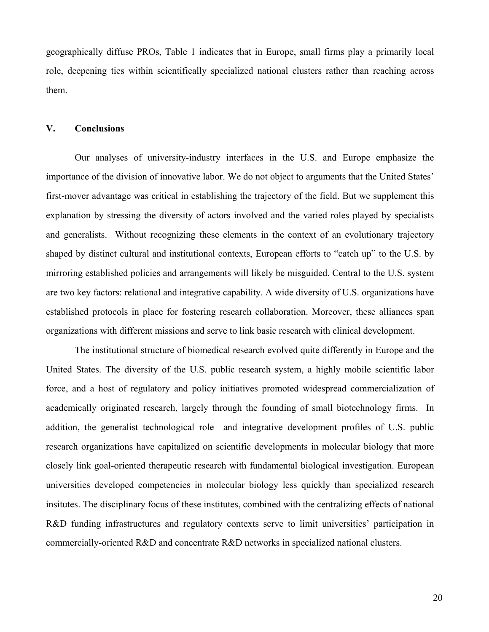geographically diffuse PROs, Table 1 indicates that in Europe, small firms play a primarily local role, deepening ties within scientifically specialized national clusters rather than reaching across them.

#### **V. Conclusions**

Our analyses of university-industry interfaces in the U.S. and Europe emphasize the importance of the division of innovative labor. We do not object to arguments that the United States' first-mover advantage was critical in establishing the trajectory of the field. But we supplement this explanation by stressing the diversity of actors involved and the varied roles played by specialists and generalists. Without recognizing these elements in the context of an evolutionary trajectory shaped by distinct cultural and institutional contexts, European efforts to "catch up" to the U.S. by mirroring established policies and arrangements will likely be misguided. Central to the U.S. system are two key factors: relational and integrative capability. A wide diversity of U.S. organizations have established protocols in place for fostering research collaboration. Moreover, these alliances span organizations with different missions and serve to link basic research with clinical development.

The institutional structure of biomedical research evolved quite differently in Europe and the United States. The diversity of the U.S. public research system, a highly mobile scientific labor force, and a host of regulatory and policy initiatives promoted widespread commercialization of academically originated research, largely through the founding of small biotechnology firms. In addition, the generalist technological role and integrative development profiles of U.S. public research organizations have capitalized on scientific developments in molecular biology that more closely link goal-oriented therapeutic research with fundamental biological investigation. European universities developed competencies in molecular biology less quickly than specialized research insitutes. The disciplinary focus of these institutes, combined with the centralizing effects of national R&D funding infrastructures and regulatory contexts serve to limit universities' participation in commercially-oriented R&D and concentrate R&D networks in specialized national clusters.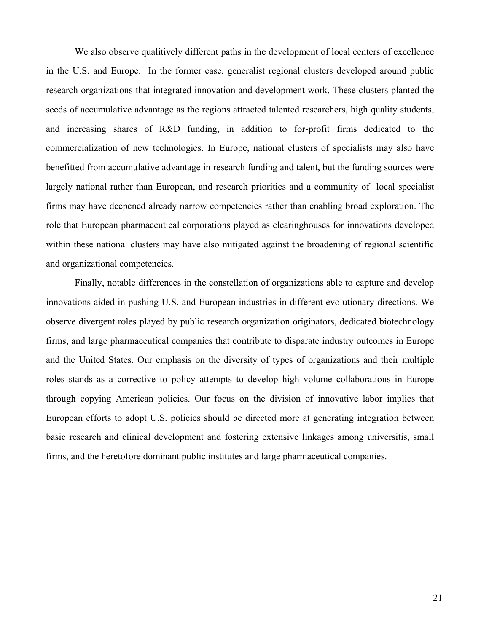We also observe qualitively different paths in the development of local centers of excellence in the U.S. and Europe. In the former case, generalist regional clusters developed around public research organizations that integrated innovation and development work. These clusters planted the seeds of accumulative advantage as the regions attracted talented researchers, high quality students, and increasing shares of R&D funding, in addition to for-profit firms dedicated to the commercialization of new technologies. In Europe, national clusters of specialists may also have benefitted from accumulative advantage in research funding and talent, but the funding sources were largely national rather than European, and research priorities and a community of local specialist firms may have deepened already narrow competencies rather than enabling broad exploration. The role that European pharmaceutical corporations played as clearinghouses for innovations developed within these national clusters may have also mitigated against the broadening of regional scientific and organizational competencies.

Finally, notable differences in the constellation of organizations able to capture and develop innovations aided in pushing U.S. and European industries in different evolutionary directions. We observe divergent roles played by public research organization originators, dedicated biotechnology firms, and large pharmaceutical companies that contribute to disparate industry outcomes in Europe and the United States. Our emphasis on the diversity of types of organizations and their multiple roles stands as a corrective to policy attempts to develop high volume collaborations in Europe through copying American policies. Our focus on the division of innovative labor implies that European efforts to adopt U.S. policies should be directed more at generating integration between basic research and clinical development and fostering extensive linkages among universitis, small firms, and the heretofore dominant public institutes and large pharmaceutical companies.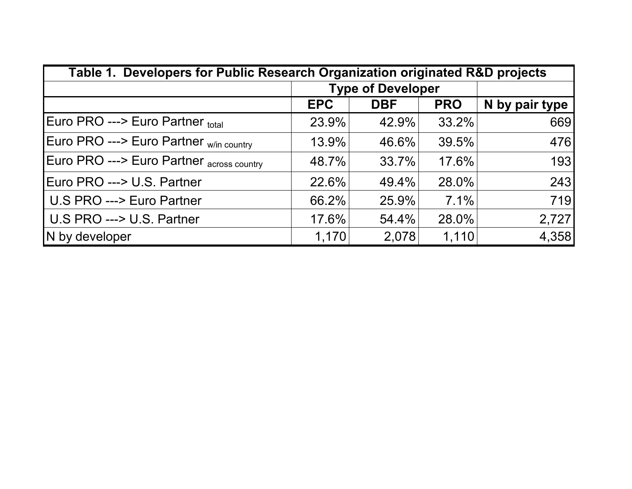| Table 1. Developers for Public Research Organization originated R&D projects |                          |            |            |                |  |  |
|------------------------------------------------------------------------------|--------------------------|------------|------------|----------------|--|--|
|                                                                              | <b>Type of Developer</b> |            |            |                |  |  |
|                                                                              | <b>EPC</b>               | <b>DBF</b> | <b>PRO</b> | N by pair type |  |  |
| Euro PRO ---> Euro Partner total                                             | 23.9%                    | 42.9%      | 33.2%      | 669            |  |  |
| Euro PRO ---> Euro Partner w/in country                                      | 13.9%                    | 46.6%      | 39.5%      | 476            |  |  |
| Euro PRO ---> Euro Partner across country                                    | 48.7%                    | 33.7%      | 17.6%      | 193            |  |  |
| Euro PRO ---> U.S. Partner                                                   | 22.6%                    | 49.4%      | 28.0%      | 243            |  |  |
| U.S PRO ---> Euro Partner                                                    | 66.2%                    | 25.9%      | $7.1\%$    | 719            |  |  |
| U.S PRO ---> U.S. Partner                                                    | 17.6%                    | 54.4%      | 28.0%      | 2,727          |  |  |
| N by developer                                                               | 1,170                    | 2,078      | 1,110      | 4,358          |  |  |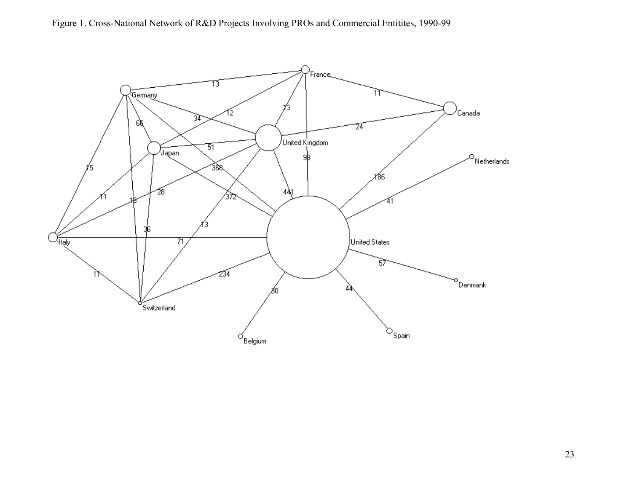Figure 1. Cross-National Network of R&D Projects Involving PROs and Commercial Entitites, 1990-99

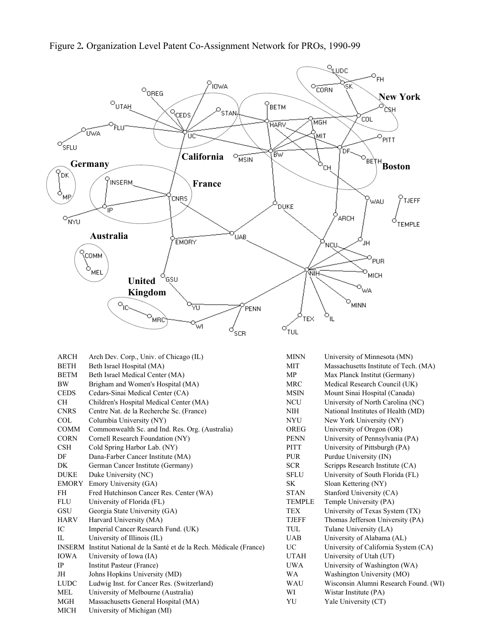

| ARCH        | Arch Dev. Corp., Univ. of Chicago (IL)                                | <b>MINN</b>   | University of Minnesota    |
|-------------|-----------------------------------------------------------------------|---------------|----------------------------|
| <b>BETH</b> | Beth Israel Hospital (MA)                                             | <b>MIT</b>    | Massachusetts Institute of |
| <b>BETM</b> | Beth Israel Medical Center (MA)                                       | <b>MP</b>     | Max Planck Institut (Ger   |
| <b>BW</b>   | Brigham and Women's Hospital (MA)                                     | MRC           | Medical Research Counc     |
| <b>CEDS</b> | Cedars-Sinai Medical Center (CA)                                      | <b>MSIN</b>   | Mount Sinai Hospital (C    |
| <b>CH</b>   | Children's Hospital Medical Center (MA)                               | <b>NCU</b>    | University of North Card   |
| <b>CNRS</b> | Centre Nat. de la Recherche Sc. (France)                              | NIH           | National Institutes of Hea |
| <b>COL</b>  | Columbia University (NY)                                              | <b>NYU</b>    | New York University (N     |
| <b>COMM</b> | Commonwealth Sc. and Ind. Res. Org. (Australia)                       | <b>OREG</b>   | University of Oregon (O)   |
| <b>CORN</b> | Cornell Research Foundation (NY)                                      | <b>PENN</b>   | University of Pennsylvar   |
| <b>CSH</b>  | Cold Spring Harbor Lab. (NY)                                          | <b>PITT</b>   | University of Pittsburgh   |
| DF          | Dana-Farber Cancer Institute (MA)                                     | <b>PUR</b>    | Purdue University (IN)     |
| DK          | German Cancer Institute (Germany)                                     | <b>SCR</b>    | Scripps Research Institut  |
| <b>DUKE</b> | Duke University (NC)                                                  | <b>SFLU</b>   | University of South Flori  |
| EMORY       | Emory University (GA)                                                 | SK            | Sloan Kettering (NY)       |
| FH          | Fred Hutchinson Cancer Res. Center (WA)                               | <b>STAN</b>   | Stanford University (CA)   |
| <b>FLU</b>  | University of Florida (FL)                                            | <b>TEMPLE</b> | Temple University (PA)     |
| GSU         | Georgia State University (GA)                                         | <b>TEX</b>    | University of Texas Syst   |
| <b>HARV</b> | Harvard University (MA)                                               | <b>TJEFF</b>  | Thomas Jefferson Univer    |
| IC          | Imperial Cancer Research Fund. (UK)                                   | TUL           | Tulane University (LA)     |
| $\Pi$ .     | University of Illinois (IL)                                           | <b>UAB</b>    | University of Alabama (    |
|             | INSERM Institut National de la Santé et de la Rech. Médicale (France) | UC            | University of California   |
| <b>IOWA</b> | University of Iowa (IA)                                               | <b>UTAH</b>   | University of Utah (UT)    |
| IP          | Institut Pasteur (France)                                             | <b>UWA</b>    | University of Washingto    |
| JH          | Johns Hopkins University (MD)                                         | WA            | Washington University (    |
| <b>LUDC</b> | Ludwig Inst. for Cancer Res. (Switzerland)                            | <b>WAU</b>    | Wisconsin Alumni Resea     |
| <b>MEL</b>  | University of Melbourne (Australia)                                   | WI            | Wistar Institute (PA)      |
| MGH         | Massachusetts General Hospital (MA)                                   | YU            | Yale University (CT)       |
| <b>MICH</b> | University of Michigan (MI)                                           |               |                            |
|             |                                                                       |               |                            |

of Minnesota (MN) setts Institute of Tech. (MA) k Institut (Germany) esearch Council (UK) ai Hospital (Canada) of North Carolina (NC) nstitutes of Health (MD) University (NY) of Oregon (OR) of Pennsylvania (PA) of Pittsburgh (PA) niversity (IN) esearch Institute (CA) of South Florida (FL) Jniversity (CA) niversity (PA) of Texas System (TX) efferson University (PA) iversity (LA) of Alabama (AL) of California System (CA) of Washington (WA) Ind University (MO) Alumni Research Found. (WI)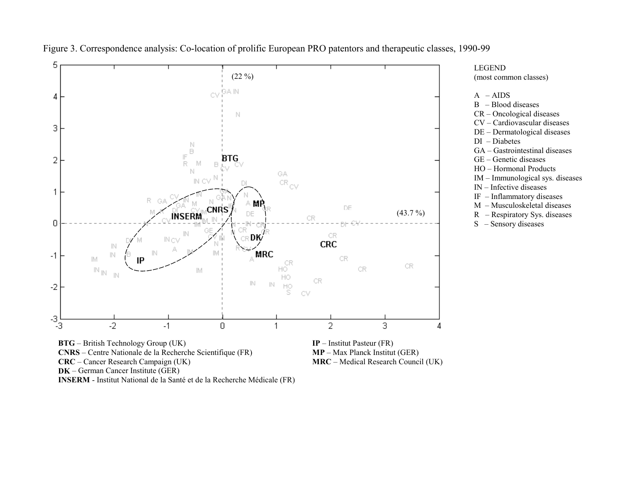

Figure 3. Correspondence analysis: Co-location of prolific European PRO patentors and therapeutic classes, 1990-99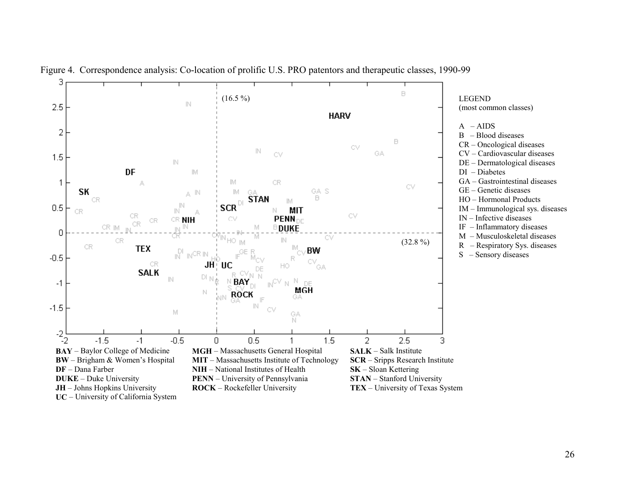

Figure 4. Correspondence analysis: Co-location of prolific U.S. PRO patentors and therapeutic classes, 1990-99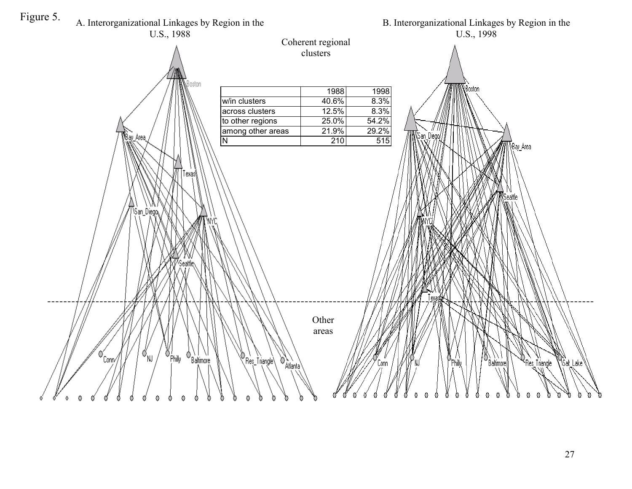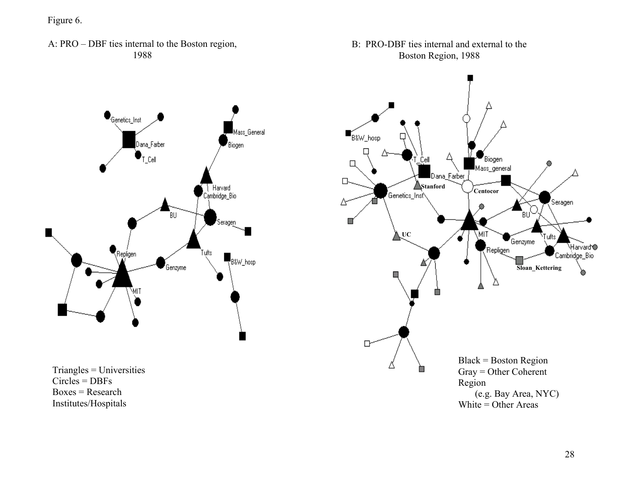Figure 6.

A: PRO – DBF ties internal to the Boston region, 1988





Triangles = Universities Circles = DBFs  $Boxes = Research$ Institutes/Hospitals

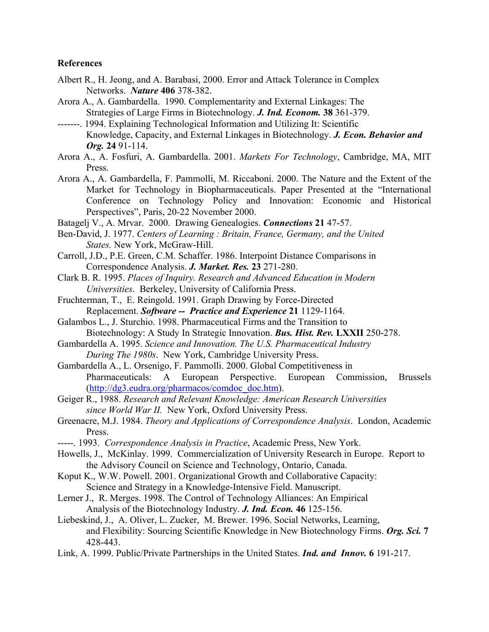#### **References**

- Albert R., H. Jeong, and A. Barabasi, 2000. Error and Attack Tolerance in Complex Networks. *Nature* **406** 378-382.
- Arora A., A. Gambardella. 1990. Complementarity and External Linkages: The Strategies of Large Firms in Biotechnology. *J. Ind. Econom.* **38** 361-379.
- -------. 1994. Explaining Technological Information and Utilizing It: Scientific Knowledge, Capacity, and External Linkages in Biotechnology. *J. Econ. Behavior and Org.* **24** 91-114.
- Arora A., A. Fosfuri, A. Gambardella. 2001. *Markets For Technology*, Cambridge, MA, MIT Press.
- Arora A., A. Gambardella, F. Pammolli, M. Riccaboni. 2000. The Nature and the Extent of the Market for Technology in Biopharmaceuticals. Paper Presented at the "International Conference on Technology Policy and Innovation: Economic and Historical Perspectives", Paris, 20-22 November 2000.
- Batagelj V., A. Mrvar. 2000. Drawing Genealogies. *Connections* **21** 47-57.
- Ben-David, J. 1977. *Centers of Learning : Britain, France, Germany, and the United States.* New York, McGraw-Hill.
- Carroll, J.D., P.E. Green, C.M. Schaffer. 1986. Interpoint Distance Comparisons in Correspondence Analysis. *J. Market. Res.* **23** 271-280.
- Clark B. R. 1995. *Places of Inquiry. Research and Advanced Education in Modern Universities*. Berkeley, University of California Press.
- Fruchterman, T., E. Reingold. 1991. Graph Drawing by Force-Directed Replacement. *Software -- Practice and Experience* **21** 1129-1164.
- Galambos L., J. Sturchio. 1998. Pharmaceutical Firms and the Transition to Biotechnology: A Study In Strategic Innovation. *Bus. Hist. Rev.* **LXXII** 250-278.
- Gambardella A. 1995. *Science and Innovation. The U.S. Pharmaceutical Industry During The 1980s*. New York, Cambridge University Press.
- Gambardella A., L. Orsenigo, F. Pammolli. 2000. Global Competitiveness in Pharmaceuticals: A European Perspective. European Commission, Brussels (http://dg3.eudra.org/pharmacos/comdoc\_doc.htm).
- Geiger R., 1988. *Research and Relevant Knowledge: American Research Universities since World War II.* New York, Oxford University Press.
- Greenacre, M.J. 1984. *Theory and Applications of Correspondence Analysis*. London, Academic Press.
- -----. 1993. *Correspondence Analysis in Practice*, Academic Press, New York.
- Howells, J., McKinlay. 1999. Commercialization of University Research in Europe. Report to the Advisory Council on Science and Technology, Ontario, Canada.
- Koput K., W.W. Powell. 2001. Organizational Growth and Collaborative Capacity: Science and Strategy in a Knowledge-Intensive Field. Manuscript.
- Lerner J., R. Merges. 1998. The Control of Technology Alliances: An Empirical Analysis of the Biotechnology Industry. *J. Ind. Econ.* **46** 125-156.
- Liebeskind, J., A. Oliver, L. Zucker, M. Brewer. 1996. Social Networks, Learning, and Flexibility: Sourcing Scientific Knowledge in New Biotechnology Firms. *Org. Sci.* **7** 428-443.
- Link, A. 1999. Public/Private Partnerships in the United States. *Ind. and Innov.* **6** 191-217.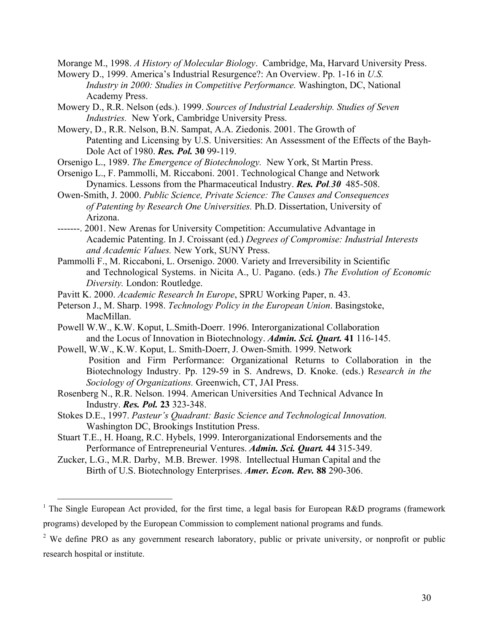Morange M., 1998. *A History of Molecular Biology*. Cambridge, Ma, Harvard University Press.

- Mowery D., 1999. America's Industrial Resurgence?: An Overview. Pp. 1-16 in *U.S. Industry in 2000: Studies in Competitive Performance.* Washington, DC, National Academy Press.
- Mowery D., R.R. Nelson (eds.). 1999. *Sources of Industrial Leadership. Studies of Seven Industries.* New York, Cambridge University Press.
- Mowery, D., R.R. Nelson, B.N. Sampat, A.A. Ziedonis. 2001. The Growth of Patenting and Licensing by U.S. Universities: An Assessment of the Effects of the Bayh-Dole Act of 1980. *Res. Pol.* **30** 99-119.
- Orsenigo L., 1989. *The Emergence of Biotechnology.* New York, St Martin Press.
- Orsenigo L., F. Pammolli, M. Riccaboni. 2001. Technological Change and Network Dynamics. Lessons from the Pharmaceutical Industry. *Res. Pol.30*485-508.
- Owen-Smith, J. 2000. *Public Science, Private Science: The Causes and Consequences of Patenting by Research One Universities.* Ph.D. Dissertation, University of Arizona.
- -------. 2001. New Arenas for University Competition: Accumulative Advantage in Academic Patenting. In J. Croissant (ed.) *Degrees of Compromise: Industrial Interests and Academic Values.* New York, SUNY Press.
- Pammolli F., M. Riccaboni, L. Orsenigo. 2000. Variety and Irreversibility in Scientific and Technological Systems. in Nicita A., U. Pagano. (eds.) *The Evolution of Economic Diversity.* London: Routledge.
- Pavitt K. 2000. *Academic Research In Europe*, SPRU Working Paper, n. 43.
- Peterson J., M. Sharp. 1998. *Technology Policy in the European Union*. Basingstoke, MacMillan.
- Powell W.W., K.W. Koput, L.Smith-Doerr. 1996. Interorganizational Collaboration and the Locus of Innovation in Biotechnology. *Admin. Sci. Quart.* **41** 116-145.
- Powell, W.W., K.W. Koput, L. Smith-Doerr, J. Owen-Smith. 1999. Network Position and Firm Performance: Organizational Returns to Collaboration in the Biotechnology Industry. Pp. 129-59 in S. Andrews, D. Knoke. (eds.) R*esearch in the Sociology of Organizations.* Greenwich, CT, JAI Press.
- Rosenberg N., R.R. Nelson. 1994. American Universities And Technical Advance In Industry. *Res. Pol.* **23** 323-348.
- Stokes D.E., 1997. *Pasteur's Quadrant: Basic Science and Technological Innovation.* Washington DC, Brookings Institution Press.
- Stuart T.E., H. Hoang, R.C. Hybels, 1999. Interorganizational Endorsements and the Performance of Entrepreneurial Ventures. *Admin. Sci. Quart.* **44** 315-349.
- Zucker, L.G., M.R. Darby, M.B. Brewer. 1998. Intellectual Human Capital and the Birth of U.S. Biotechnology Enterprises. *Amer. Econ. Rev.* **88** 290-306.

-

<sup>&</sup>lt;sup>1</sup> The Single European Act provided, for the first time, a legal basis for European R&D programs (framework programs) developed by the European Commission to complement national programs and funds.

<sup>&</sup>lt;sup>2</sup> We define PRO as any government research laboratory, public or private university, or nonprofit or public research hospital or institute.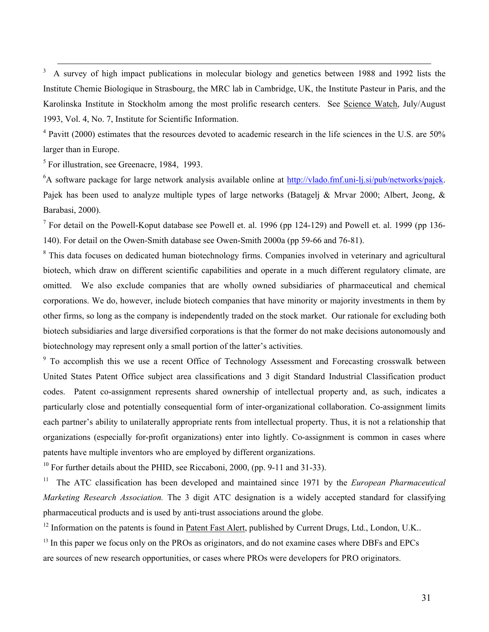3 A survey of high impact publications in molecular biology and genetics between 1988 and 1992 lists the Institute Chemie Biologique in Strasbourg, the MRC lab in Cambridge, UK, the Institute Pasteur in Paris, and the Karolinska Institute in Stockholm among the most prolific research centers. See Science Watch, July/August 1993, Vol. 4, No. 7, Institute for Scientific Information.

<sup>4</sup> Pavitt (2000) estimates that the resources devoted to academic research in the life sciences in the U.S. are 50% larger than in Europe.

<sup>5</sup> For illustration, see Greenacre, 1984, 1993.

 $\overline{a}$ 

 ${}^{6}$ A software package for large network analysis available online at http://vlado.fmf.uni-lj.si/pub/networks/pajek. Pajek has been used to analyze multiple types of large networks (Batagelj & Mrvar 2000; Albert, Jeong, & Barabasi, 2000).

<sup>7</sup> For detail on the Powell-Koput database see Powell et. al. 1996 (pp 124-129) and Powell et. al. 1999 (pp 136-140). For detail on the Owen-Smith database see Owen-Smith 2000a (pp 59-66 and 76-81).

<sup>8</sup> This data focuses on dedicated human biotechnology firms. Companies involved in veterinary and agricultural biotech, which draw on different scientific capabilities and operate in a much different regulatory climate, are omitted. We also exclude companies that are wholly owned subsidiaries of pharmaceutical and chemical corporations. We do, however, include biotech companies that have minority or majority investments in them by other firms, so long as the company is independently traded on the stock market. Our rationale for excluding both biotech subsidiaries and large diversified corporations is that the former do not make decisions autonomously and biotechnology may represent only a small portion of the latter's activities.

<sup>9</sup> To accomplish this we use a recent Office of Technology Assessment and Forecasting crosswalk between United States Patent Office subject area classifications and 3 digit Standard Industrial Classification product codes. Patent co-assignment represents shared ownership of intellectual property and, as such, indicates a particularly close and potentially consequential form of inter-organizational collaboration. Co-assignment limits each partner's ability to unilaterally appropriate rents from intellectual property. Thus, it is not a relationship that organizations (especially for-profit organizations) enter into lightly. Co-assignment is common in cases where patents have multiple inventors who are employed by different organizations.

 $^{10}$  For further details about the PHID, see Riccaboni, 2000, (pp. 9-11 and 31-33).

<sup>11</sup> The ATC classification has been developed and maintained since 1971 by the *European Pharmaceutical Marketing Research Association.* The 3 digit ATC designation is a widely accepted standard for classifying pharmaceutical products and is used by anti-trust associations around the globe.

<sup>12</sup> Information on the patents is found in Patent Fast Alert, published by Current Drugs, Ltd., London, U.K.. <sup>13</sup> In this paper we focus only on the PROs as originators, and do not examine cases where DBFs and EPCs are sources of new research opportunities, or cases where PROs were developers for PRO originators.